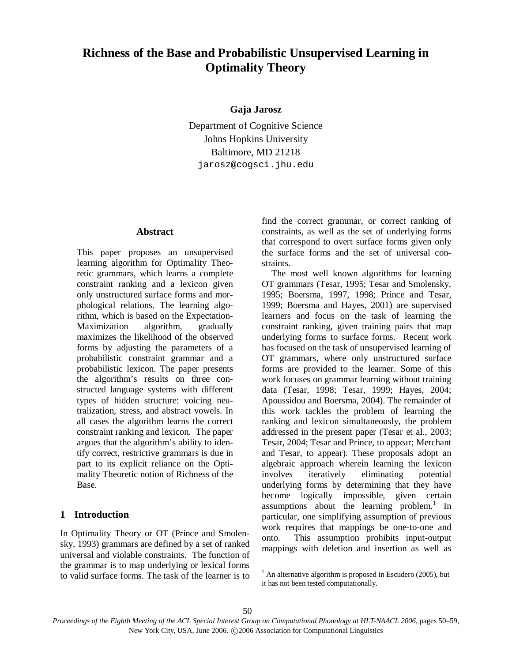# **Richness of the Base and Probabilistic Unsupervised Learning in Optimality Theory**

## **Gaja Jarosz**

Department of Cognitive Science Johns Hopkins University Baltimore, MD 21218 jarosz@cogsci.jhu.edu

## **Abstract**

This paper proposes an unsupervised learning algorithm for Optimality Theoretic grammars, which learns a complete constraint ranking and a lexicon given only unstructured surface forms and morphological relations. The learning algorithm, which is based on the Expectation-Maximization algorithm, gradually maximizes the likelihood of the observed forms by adjusting the parameters of a probabilistic constraint grammar and a probabilistic lexicon. The paper presents the algorithm's results on three constructed language systems with different types of hidden structure: voicing neutralization, stress, and abstract vowels. In all cases the algorithm learns the correct constraint ranking and lexicon. The paper argues that the algorithm's ability to identify correct, restrictive grammars is due in part to its explicit reliance on the Optimality Theoretic notion of Richness of the Base.

## **1 Introduction**

In Optimality Theory or OT (Prince and Smolensky, 1993) grammars are defined by a set of ranked universal and violable constraints. The function of the grammar is to map underlying or lexical forms to valid surface forms. The task of the learner is to find the correct grammar, or correct ranking of constraints, as well as the set of underlying forms that correspond to overt surface forms given only the surface forms and the set of universal constraints.

The most well known algorithms for learning OT grammars (Tesar, 1995; Tesar and Smolensky, 1995; Boersma, 1997, 1998; Prince and Tesar, 1999; Boersma and Hayes, 2001) are supervised learners and focus on the task of learning the constraint ranking, given training pairs that map underlying forms to surface forms. Recent work has focused on the task of unsupervised learning of OT grammars, where only unstructured surface forms are provided to the learner. Some of this work focuses on grammar learning without training data (Tesar, 1998; Tesar, 1999; Hayes, 2004; Apoussidou and Boersma, 2004). The remainder of this work tackles the problem of learning the ranking and lexicon simultaneously, the problem addressed in the present paper (Tesar et al., 2003; Tesar, 2004; Tesar and Prince, to appear; Merchant and Tesar, to appear). These proposals adopt an algebraic approach wherein learning the lexicon involves iteratively eliminating potential underlying forms by determining that they have become logically impossible, given certain assumptions about the learning problem. $1$  In particular, one simplifying assumption of previous work requires that mappings be one-to-one and onto. This assumption prohibits input-output mappings with deletion and insertion as well as

 $\overline{a}$ 

 $<sup>1</sup>$  An alternative algorithm is proposed in Escudero (2005), but</sup> it has not been tested computationally.

*Proceedings of the Eighth Meeting of the ACL Special Interest Group on Computational Phonology at HLT-NAACL 2006*, pages 50–59, New York City, USA, June 2006.  $\odot$ 2006 Association for Computational Linguistics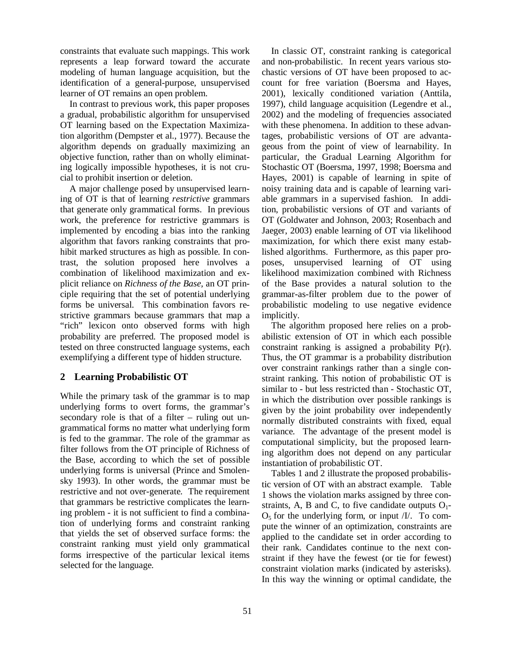constraints that evaluate such mappings. This work represents a leap forward toward the accurate modeling of human language acquisition, but the identification of a general-purpose, unsupervised learner of OT remains an open problem.

In contrast to previous work, this paper proposes a gradual, probabilistic algorithm for unsupervised OT learning based on the Expectation Maximization algorithm (Dempster et al., 1977). Because the algorithm depends on gradually maximizing an objective function, rather than on wholly eliminating logically impossible hypotheses, it is not crucial to prohibit insertion or deletion.

A major challenge posed by unsupervised learning of OT is that of learning *restrictive* grammars that generate only grammatical forms. In previous work, the preference for restrictive grammars is implemented by encoding a bias into the ranking algorithm that favors ranking constraints that prohibit marked structures as high as possible. In contrast, the solution proposed here involves a combination of likelihood maximization and explicit reliance on *Richness of the Base,* an OT principle requiring that the set of potential underlying forms be universal. This combination favors restrictive grammars because grammars that map a "rich" lexicon onto observed forms with high probability are preferred. The proposed model is tested on three constructed language systems, each exemplifying a different type of hidden structure.

## **2 Learning Probabilistic OT**

While the primary task of the grammar is to map underlying forms to overt forms, the grammar's secondary role is that of a filter – ruling out ungrammatical forms no matter what underlying form is fed to the grammar. The role of the grammar as filter follows from the OT principle of Richness of the Base, according to which the set of possible underlying forms is universal (Prince and Smolensky 1993). In other words, the grammar must be restrictive and not over-generate. The requirement that grammars be restrictive complicates the learning problem - it is not sufficient to find a combination of underlying forms and constraint ranking that yields the set of observed surface forms: the constraint ranking must yield only grammatical forms irrespective of the particular lexical items selected for the language.

In classic OT, constraint ranking is categorical and non-probabilistic. In recent years various stochastic versions of OT have been proposed to account for free variation (Boersma and Hayes, 2001), lexically conditioned variation (Anttila, 1997), child language acquisition (Legendre et al., 2002) and the modeling of frequencies associated with these phenomena. In addition to these advantages, probabilistic versions of OT are advantageous from the point of view of learnability. In particular, the Gradual Learning Algorithm for Stochastic OT (Boersma, 1997, 1998; Boersma and Hayes, 2001) is capable of learning in spite of noisy training data and is capable of learning variable grammars in a supervised fashion. In addition, probabilistic versions of OT and variants of OT (Goldwater and Johnson, 2003; Rosenbach and Jaeger, 2003) enable learning of OT via likelihood maximization, for which there exist many established algorithms. Furthermore, as this paper proposes, unsupervised learning of OT using likelihood maximization combined with Richness of the Base provides a natural solution to the grammar-as-filter problem due to the power of probabilistic modeling to use negative evidence implicitly.

The algorithm proposed here relies on a probabilistic extension of OT in which each possible constraint ranking is assigned a probability P(r). Thus, the OT grammar is a probability distribution over constraint rankings rather than a single constraint ranking. This notion of probabilistic OT is similar to - but less restricted than - Stochastic OT, in which the distribution over possible rankings is given by the joint probability over independently normally distributed constraints with fixed, equal variance. The advantage of the present model is computational simplicity, but the proposed learning algorithm does not depend on any particular instantiation of probabilistic OT.

Tables 1 and 2 illustrate the proposed probabilistic version of OT with an abstract example. Table 1 shows the violation marks assigned by three constraints, A, B and C, to five candidate outputs  $O_1$ - $O<sub>5</sub>$  for the underlying form, or input *. To com*pute the winner of an optimization, constraints are applied to the candidate set in order according to their rank. Candidates continue to the next constraint if they have the fewest (or tie for fewest) constraint violation marks (indicated by asterisks). In this way the winning or optimal candidate, the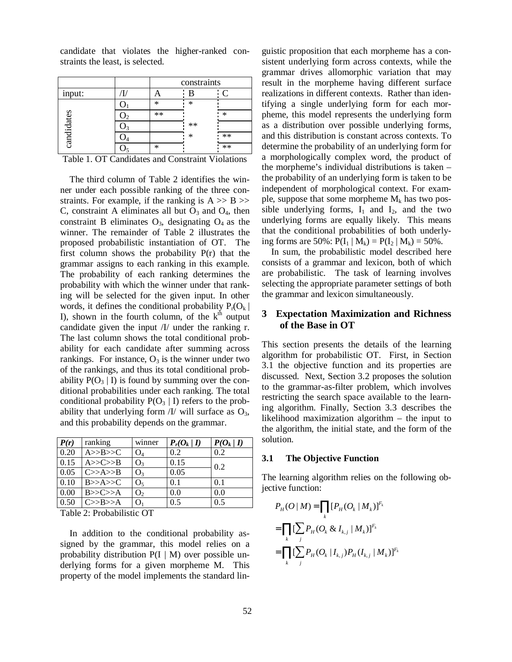candidate that violates the higher-ranked constraints the least, is selected.

|            |      | constraints |      |  |
|------------|------|-------------|------|--|
| input:     |      |             |      |  |
| candidates | ×    | ×           |      |  |
|            | $**$ |             |      |  |
|            |      | $**$        |      |  |
|            |      | ÷           | $**$ |  |
|            | ∗    |             | $**$ |  |

Table 1. OT Candidates and Constraint Violations

The third column of Table 2 identifies the winner under each possible ranking of the three constraints. For example, if the ranking is  $A \gg B \gg$ C, constraint A eliminates all but  $O_3$  and  $O_4$ , then constraint B eliminates  $O_3$ , designating  $O_4$  as the winner. The remainder of Table 2 illustrates the proposed probabilistic instantiation of OT. The first column shows the probability P(r) that the grammar assigns to each ranking in this example. The probability of each ranking determines the probability with which the winner under that ranking will be selected for the given input. In other words, it defines the conditional probability  $P_r(O_k |$ I), shown in the fourth column, of the  $k<sup>th</sup>$  output candidate given the input /I/ under the ranking r. The last column shows the total conditional probability for each candidate after summing across rankings. For instance,  $O_3$  is the winner under two of the rankings, and thus its total conditional probability  $P(O_3 | I)$  is found by summing over the conditional probabilities under each ranking. The total conditional probability  $P(O_3 | I)$  refers to the probability that underlying form  $\frac{1}{x}$  will surface as  $O_3$ , and this probability depends on the grammar.

| P(r) | ranking | winner         | $P_r(O_k   I)$ | $P(O_k   I)$ |
|------|---------|----------------|----------------|--------------|
| 0.20 | A>>B>>C | $O_4$          | 0.2            | 0.2          |
| 0.15 | A>>C>>B | $O_3$          | 0.15           | 0.2          |
| 0.05 | C>>A>>B | $O_3$          | 0.05           |              |
| 0.10 | B>>A>>C | O <sub>5</sub> | 0.1            | 0.1          |
| 0.00 | B>>C>>A | O <sub>2</sub> | 0.0            | 0.0          |
| 0.50 | C>>B>>A |                | 0.5            | 0.5          |

Table 2: Probabilistic OT

In addition to the conditional probability assigned by the grammar, this model relies on a probability distribution  $P(I | M)$  over possible underlying forms for a given morpheme M. This property of the model implements the standard linguistic proposition that each morpheme has a consistent underlying form across contexts, while the grammar drives allomorphic variation that may result in the morpheme having different surface realizations in different contexts. Rather than identifying a single underlying form for each morpheme, this model represents the underlying form as a distribution over possible underlying forms, and this distribution is constant across contexts. To determine the probability of an underlying form for a morphologically complex word, the product of the morpheme's individual distributions is taken – the probability of an underlying form is taken to be independent of morphological context. For example, suppose that some morpheme  $M_k$  has two possible underlying forms,  $I_1$  and  $I_2$ , and the two underlying forms are equally likely. This means that the conditional probabilities of both underlying forms are 50%:  $P(I_1 | M_k) = P(I_2 | M_k) = 50\%$ .

In sum, the probabilistic model described here consists of a grammar and lexicon, both of which are probabilistic. The task of learning involves selecting the appropriate parameter settings of both the grammar and lexicon simultaneously.

## **3 Expectation Maximization and Richness of the Base in OT**

This section presents the details of the learning algorithm for probabilistic OT. First, in Section 3.1 the objective function and its properties are discussed. Next, Section 3.2 proposes the solution to the grammar-as-filter problem, which involves restricting the search space available to the learning algorithm. Finally, Section 3.3 describes the likelihood maximization algorithm – the input to the algorithm, the initial state, and the form of the solution.

#### **3.1 The Objective Function**

The learning algorithm relies on the following objective function:

$$
P_H(O | M) = \prod_k [P_H(O_k | M_k)]^{F_k}
$$
  
= 
$$
\prod_k [\sum_j P_H(O_k \& I_{k,j} | M_k)]^{F_k}
$$
  
= 
$$
\prod_k [\sum_j P_H(O_k | I_{k,j}) P_H(I_{k,j} | M_k)]^{F_k}
$$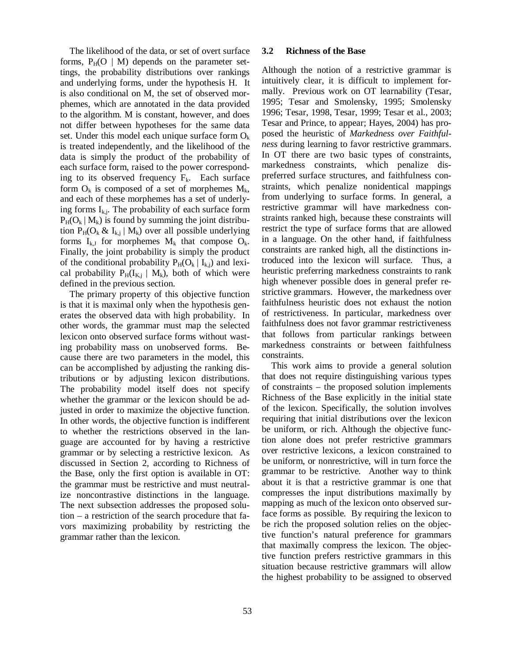The likelihood of the data, or set of overt surface forms,  $P_H(O \mid M)$  depends on the parameter settings, the probability distributions over rankings and underlying forms, under the hypothesis H. It is also conditional on M, the set of observed morphemes, which are annotated in the data provided to the algorithm. M is constant, however, and does not differ between hypotheses for the same data set. Under this model each unique surface form  $O_k$ is treated independently, and the likelihood of the data is simply the product of the probability of each surface form, raised to the power corresponding to its observed frequency  $F_k$ . Each surface form  $O_k$  is composed of a set of morphemes  $M_k$ , and each of these morphemes has a set of underlying forms  $I_{k,j}$ . The probability of each surface form  $P_H(O_k | M_k)$  is found by summing the joint distribution  $P_H(O_k \& I_{k,i} | M_k)$  over all possible underlying forms  $I_{k,J}$  for morphemes  $M_k$  that compose  $O_k$ . Finally, the joint probability is simply the product of the conditional probability  $P_H(O_k | I_{k,i})$  and lexical probability  $P_H(I_{K,i} | M_k)$ , both of which were defined in the previous section.

The primary property of this objective function is that it is maximal only when the hypothesis generates the observed data with high probability. In other words, the grammar must map the selected lexicon onto observed surface forms without wasting probability mass on unobserved forms. Because there are two parameters in the model, this can be accomplished by adjusting the ranking distributions or by adjusting lexicon distributions. The probability model itself does not specify whether the grammar or the lexicon should be adjusted in order to maximize the objective function. In other words, the objective function is indifferent to whether the restrictions observed in the language are accounted for by having a restrictive grammar or by selecting a restrictive lexicon. As discussed in Section 2, according to Richness of the Base, only the first option is available in OT: the grammar must be restrictive and must neutralize noncontrastive distinctions in the language. The next subsection addresses the proposed solution – a restriction of the search procedure that favors maximizing probability by restricting the grammar rather than the lexicon.

#### **3.2 Richness of the Base**

Although the notion of a restrictive grammar is intuitively clear, it is difficult to implement formally. Previous work on OT learnability (Tesar, 1995; Tesar and Smolensky, 1995; Smolensky 1996; Tesar, 1998, Tesar, 1999; Tesar et al., 2003; Tesar and Prince, to appear; Hayes, 2004) has proposed the heuristic of *Markedness over Faithfulness* during learning to favor restrictive grammars. In OT there are two basic types of constraints, markedness constraints, which penalize dispreferred surface structures, and faithfulness constraints, which penalize nonidentical mappings from underlying to surface forms. In general, a restrictive grammar will have markedness constraints ranked high, because these constraints will restrict the type of surface forms that are allowed in a language. On the other hand, if faithfulness constraints are ranked high, all the distinctions introduced into the lexicon will surface. Thus, a heuristic preferring markedness constraints to rank high whenever possible does in general prefer restrictive grammars. However, the markedness over faithfulness heuristic does not exhaust the notion of restrictiveness. In particular, markedness over faithfulness does not favor grammar restrictiveness that follows from particular rankings between markedness constraints or between faithfulness constraints.

This work aims to provide a general solution that does not require distinguishing various types of constraints – the proposed solution implements Richness of the Base explicitly in the initial state of the lexicon. Specifically, the solution involves requiring that initial distributions over the lexicon be uniform, or rich. Although the objective function alone does not prefer restrictive grammars over restrictive lexicons, a lexicon constrained to be uniform, or nonrestrictive, will in turn force the grammar to be restrictive. Another way to think about it is that a restrictive grammar is one that compresses the input distributions maximally by mapping as much of the lexicon onto observed surface forms as possible. By requiring the lexicon to be rich the proposed solution relies on the objective function's natural preference for grammars that maximally compress the lexicon. The objective function prefers restrictive grammars in this situation because restrictive grammars will allow the highest probability to be assigned to observed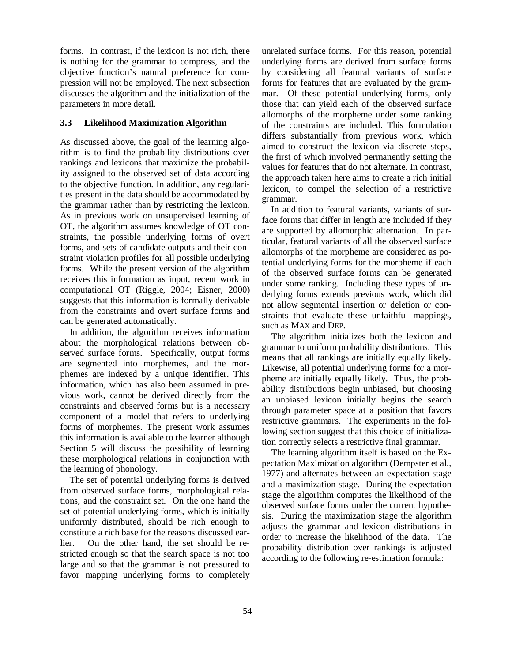forms. In contrast, if the lexicon is not rich, there is nothing for the grammar to compress, and the objective function's natural preference for compression will not be employed. The next subsection discusses the algorithm and the initialization of the parameters in more detail.

## **3.3 Likelihood Maximization Algorithm**

As discussed above, the goal of the learning algorithm is to find the probability distributions over rankings and lexicons that maximize the probability assigned to the observed set of data according to the objective function. In addition, any regularities present in the data should be accommodated by the grammar rather than by restricting the lexicon. As in previous work on unsupervised learning of OT, the algorithm assumes knowledge of OT constraints, the possible underlying forms of overt forms, and sets of candidate outputs and their constraint violation profiles for all possible underlying forms. While the present version of the algorithm receives this information as input, recent work in computational OT (Riggle, 2004; Eisner, 2000) suggests that this information is formally derivable from the constraints and overt surface forms and can be generated automatically.

In addition, the algorithm receives information about the morphological relations between observed surface forms. Specifically, output forms are segmented into morphemes, and the morphemes are indexed by a unique identifier. This information, which has also been assumed in previous work, cannot be derived directly from the constraints and observed forms but is a necessary component of a model that refers to underlying forms of morphemes. The present work assumes this information is available to the learner although Section 5 will discuss the possibility of learning these morphological relations in conjunction with the learning of phonology.

The set of potential underlying forms is derived from observed surface forms, morphological relations, and the constraint set. On the one hand the set of potential underlying forms, which is initially uniformly distributed, should be rich enough to constitute a rich base for the reasons discussed earlier. On the other hand, the set should be restricted enough so that the search space is not too large and so that the grammar is not pressured to favor mapping underlying forms to completely

unrelated surface forms. For this reason, potential underlying forms are derived from surface forms by considering all featural variants of surface forms for features that are evaluated by the grammar. Of these potential underlying forms, only those that can yield each of the observed surface allomorphs of the morpheme under some ranking of the constraints are included. This formulation differs substantially from previous work, which aimed to construct the lexicon via discrete steps, the first of which involved permanently setting the values for features that do not alternate. In contrast, the approach taken here aims to create a rich initial lexicon, to compel the selection of a restrictive grammar.

In addition to featural variants, variants of surface forms that differ in length are included if they are supported by allomorphic alternation. In particular, featural variants of all the observed surface allomorphs of the morpheme are considered as potential underlying forms for the morpheme if each of the observed surface forms can be generated under some ranking. Including these types of underlying forms extends previous work, which did not allow segmental insertion or deletion or constraints that evaluate these unfaithful mappings, such as MAX and DEP.

The algorithm initializes both the lexicon and grammar to uniform probability distributions. This means that all rankings are initially equally likely. Likewise, all potential underlying forms for a morpheme are initially equally likely. Thus, the probability distributions begin unbiased, but choosing an unbiased lexicon initially begins the search through parameter space at a position that favors restrictive grammars. The experiments in the following section suggest that this choice of initialization correctly selects a restrictive final grammar.

The learning algorithm itself is based on the Expectation Maximization algorithm (Dempster et al., 1977) and alternates between an expectation stage and a maximization stage. During the expectation stage the algorithm computes the likelihood of the observed surface forms under the current hypothesis. During the maximization stage the algorithm adjusts the grammar and lexicon distributions in order to increase the likelihood of the data. The probability distribution over rankings is adjusted according to the following re-estimation formula: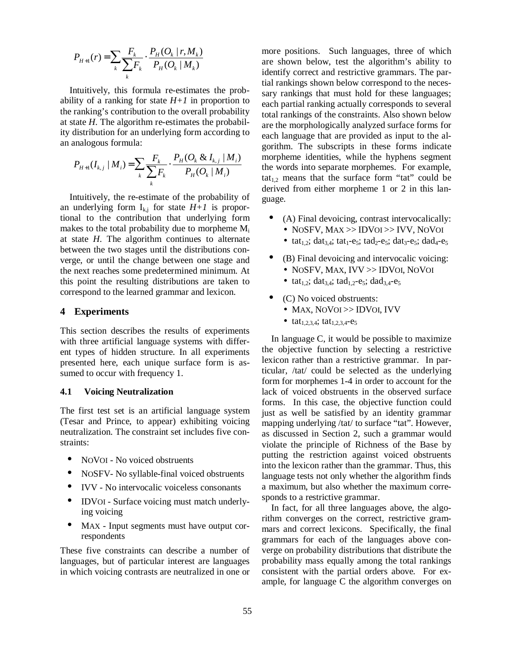$$
P_{H+1}(r) = \sum_{k} \frac{F_k}{\sum_{k} F_k} \cdot \frac{P_H(O_k \mid r, M_k)}{P_H(O_k \mid M_k)}
$$

Intuitively, this formula re-estimates the probability of a ranking for state  $H+1$  in proportion to the ranking's contribution to the overall probability at state *H*. The algorithm re-estimates the probability distribution for an underlying form according to an analogous formula:

$$
P_{H+1}(I_{k,j} | M_i) = \sum_{k} \frac{F_k}{\sum_{k} F_k} \cdot \frac{P_H(O_k \& I_{k,j} | M_i)}{P_H(O_k | M_i)}
$$

Intuitively, the re-estimate of the probability of an underlying form  $I_{k,j}$  for state  $H+1$  is proportional to the contribution that underlying form makes to the total probability due to morpheme  $M_i$ at state *H*. The algorithm continues to alternate between the two stages until the distributions converge, or until the change between one stage and the next reaches some predetermined minimum. At this point the resulting distributions are taken to correspond to the learned grammar and lexicon.

### **4 Experiments**

This section describes the results of experiments with three artificial language systems with different types of hidden structure. In all experiments presented here, each unique surface form is assumed to occur with frequency 1.

## **4.1 Voicing Neutralization**

The first test set is an artificial language system (Tesar and Prince, to appear) exhibiting voicing neutralization. The constraint set includes five constraints:

- NOVOI No voiced obstruents
- NOSFV- No syllable-final voiced obstruents
- IVV No intervocalic voiceless consonants
- IDVOI Surface voicing must match underlying voicing
- MAX Input segments must have output correspondents

These five constraints can describe a number of languages, but of particular interest are languages in which voicing contrasts are neutralized in one or more positions. Such languages, three of which are shown below, test the algorithm's ability to identify correct and restrictive grammars. The partial rankings shown below correspond to the necessary rankings that must hold for these languages; each partial ranking actually corresponds to several total rankings of the constraints. Also shown below are the morphologically analyzed surface forms for each language that are provided as input to the algorithm. The subscripts in these forms indicate morpheme identities, while the hyphens segment the words into separate morphemes. For example,  $tat_{1,2}$  means that the surface form "tat" could be derived from either morpheme 1 or 2 in this language.

- (A) Final devoicing, contrast intervocalically: • NOSFV, MAX >> IDVOI >> IVV, NOVOI
	- tat<sub>1,2</sub>; dat<sub>3,4</sub>; tat<sub>1</sub>-e<sub>5</sub>; tad<sub>2</sub>-e<sub>5</sub>; dat<sub>3</sub>-e<sub>5</sub>; dad<sub>4</sub>-e<sub>5</sub>
- (B) Final devoicing and intervocalic voicing: • NOSFV, MAX, IVV >> IDVOI, NOVOI
	- tat<sub>12</sub>; dat<sub>34</sub>; tad<sub>12</sub>-e<sub>5</sub>; dad<sub>34</sub>-e<sub>5</sub>
- (C) No voiced obstruents:
	- MAX, NOVOI >> IDVOI, IVV
	- $tat_{1,2,3,4}$ ;  $tat_{1,2,3,4}$ - $e_5$

In language C, it would be possible to maximize the objective function by selecting a restrictive lexicon rather than a restrictive grammar. In particular, /tat/ could be selected as the underlying form for morphemes 1-4 in order to account for the lack of voiced obstruents in the observed surface forms. In this case, the objective function could just as well be satisfied by an identity grammar mapping underlying /tat/ to surface "tat". However, as discussed in Section 2, such a grammar would violate the principle of Richness of the Base by putting the restriction against voiced obstruents into the lexicon rather than the grammar. Thus, this language tests not only whether the algorithm finds a maximum, but also whether the maximum corresponds to a restrictive grammar.

In fact, for all three languages above, the algorithm converges on the correct, restrictive grammars and correct lexicons. Specifically, the final grammars for each of the languages above converge on probability distributions that distribute the probability mass equally among the total rankings consistent with the partial orders above. For example, for language C the algorithm converges on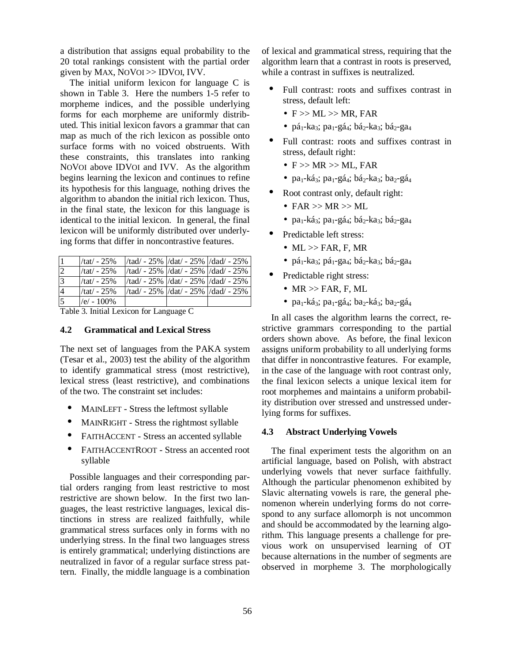a distribution that assigns equal probability to the 20 total rankings consistent with the partial order given by MAX, NOVOI >> IDVOI, IVV.

The initial uniform lexicon for language C is shown in Table 3. Here the numbers 1-5 refer to morpheme indices, and the possible underlying forms for each morpheme are uniformly distributed. This initial lexicon favors a grammar that can map as much of the rich lexicon as possible onto surface forms with no voiced obstruents. With these constraints, this translates into ranking NOVOI above IDVOI and IVV. As the algorithm begins learning the lexicon and continues to refine its hypothesis for this language, nothing drives the algorithm to abandon the initial rich lexicon. Thus, in the final state, the lexicon for this language is identical to the initial lexicon. In general, the final lexicon will be uniformly distributed over underlying forms that differ in noncontrastive features.

|                | $/ \tau$ tat $/ -25\%$ | /tad/ - $25\%$ /dat/ - $25\%$ /dad/ - $25\%$                                  |  |
|----------------|------------------------|-------------------------------------------------------------------------------|--|
| 2              | $/ \tau$ tat $/ -25\%$ | $\frac{1}{4}$ /tad/ - 25% $\frac{1}{4}$ /dat/ - 25% $\frac{1}{4}$ /dad/ - 25% |  |
| 3              | $/ \tau$ tat $/ -25\%$ | /tad/ - 25%  /dat/ - 25%  /dad/ - 25%                                         |  |
| $\overline{4}$ | $/ \tau$ tat $/ -25\%$ | $\frac{1}{4}$ /tad/ - 25% $\frac{1}{4}$ /dat/ - 25% $\frac{1}{4}$ /dad/ - 25% |  |
| 5              | $/e/ - 100\%$          |                                                                               |  |

Table 3. Initial Lexicon for Language C

### **4.2 Grammatical and Lexical Stress**

The next set of languages from the PAKA system (Tesar et al., 2003) test the ability of the algorithm to identify grammatical stress (most restrictive), lexical stress (least restrictive), and combinations of the two. The constraint set includes:

- MAINLEFT Stress the leftmost syllable
- MAINRIGHT Stress the rightmost syllable
- FAITHACCENT Stress an accented syllable
- FAITHACCENTROOT Stress an accented root syllable

Possible languages and their corresponding partial orders ranging from least restrictive to most restrictive are shown below. In the first two languages, the least restrictive languages, lexical distinctions in stress are realized faithfully, while grammatical stress surfaces only in forms with no underlying stress. In the final two languages stress is entirely grammatical; underlying distinctions are neutralized in favor of a regular surface stress pattern. Finally, the middle language is a combination of lexical and grammatical stress, requiring that the algorithm learn that a contrast in roots is preserved, while a contrast in suffixes is neutralized.

- Full contrast: roots and suffixes contrast in stress, default left:
	- $\bullet$  F  $>>$  ML  $>>$  MR, FAR
	- pá<sub>1</sub>-ka<sub>3</sub>; pa<sub>1</sub>-gá<sub>4</sub>; bá<sub>2</sub>-ka<sub>3</sub>; bá<sub>2</sub>-ga<sub>4</sub>
- Full contrast: roots and suffixes contrast in stress, default right:
	- $\bullet$  F  $>> MR$   $>> ML$ , FAR
	- pa<sub>1</sub>-ká<sub>3</sub>; pa<sub>1</sub>-gá<sub>4</sub>; bá<sub>2</sub>-ka<sub>3</sub>; ba<sub>2</sub>-gá<sub>4</sub>
- Root contrast only, default right:
	- FAR  $>> MR >> ML$
	- pa<sub>1</sub>-ká<sub>3</sub>; pa<sub>1</sub>-gá<sub>4</sub>; bá<sub>2</sub>-ka<sub>3</sub>; bá<sub>2</sub>-ga<sub>4</sub>
- Predictable left stress:
	- $\bullet$  ML  $\gg$  FAR, F, MR
	- pá<sub>1</sub>-ka<sub>3</sub>; pá<sub>1</sub>-ga<sub>4</sub>; bá<sub>2</sub>-ka<sub>3</sub>; bá<sub>2</sub>-ga<sub>4</sub>
- Predictable right stress:
	- $MR \gg FAR, F, ML$
	- pa<sub>1</sub>-ká<sub>3</sub>; pa<sub>1</sub>-gá<sub>4</sub>; ba<sub>2</sub>-ká<sub>3</sub>; ba<sub>2</sub>-gá<sub>4</sub>

In all cases the algorithm learns the correct, restrictive grammars corresponding to the partial orders shown above. As before, the final lexicon assigns uniform probability to all underlying forms that differ in noncontrastive features. For example, in the case of the language with root contrast only, the final lexicon selects a unique lexical item for root morphemes and maintains a uniform probability distribution over stressed and unstressed underlying forms for suffixes.

### **4.3 Abstract Underlying Vowels**

The final experiment tests the algorithm on an artificial language, based on Polish, with abstract underlying vowels that never surface faithfully. Although the particular phenomenon exhibited by Slavic alternating vowels is rare, the general phenomenon wherein underlying forms do not correspond to any surface allomorph is not uncommon and should be accommodated by the learning algorithm. This language presents a challenge for previous work on unsupervised learning of OT because alternations in the number of segments are observed in morpheme 3. The morphologically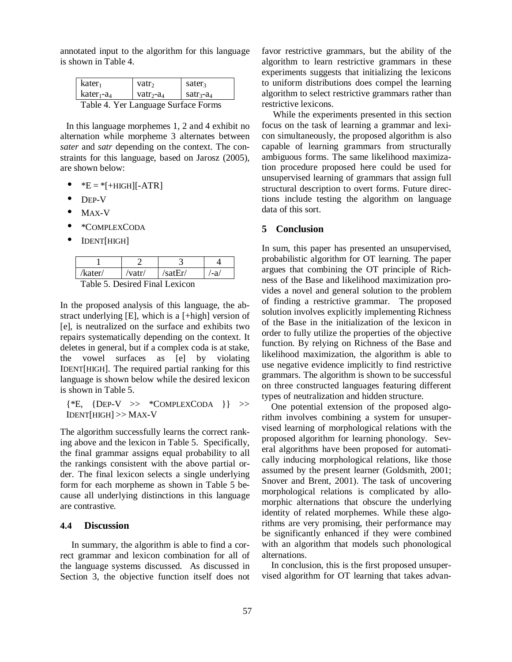annotated input to the algorithm for this language is shown in Table 4.

| $kater_1$                                  | vatr <sub>2</sub>         | sater <sub>3</sub>                           |  |  |
|--------------------------------------------|---------------------------|----------------------------------------------|--|--|
| $\vert$ kater <sub>1</sub> -a <sub>4</sub> | vatr <sub>2</sub> - $a_4$ | $\sqrt{a}$ satr <sub>3</sub> -a <sub>4</sub> |  |  |
| Table 4. Yer Language Surface Forms        |                           |                                              |  |  |

In this language morphemes 1, 2 and 4 exhibit no alternation while morpheme 3 alternates between *sater* and *satr* depending on the context. The constraints for this language, based on Jarosz (2005), are shown below:

- $E = *[+HIGH][-ATR]$
- DEP-V
- MAX-V
- \*COMPLEXCODA
- IDENT[HIGH]

| ′kater/                                                                                                                                                                                                                                                                                                                                        | /vatr/ | satEr/ |  |
|------------------------------------------------------------------------------------------------------------------------------------------------------------------------------------------------------------------------------------------------------------------------------------------------------------------------------------------------|--------|--------|--|
| $T = 11$<br>$\mathbf{R}$ $\mathbf{R}$ $\mathbf{R}$ $\mathbf{R}$ $\mathbf{R}$ $\mathbf{R}$ $\mathbf{R}$ $\mathbf{R}$ $\mathbf{R}$ $\mathbf{R}$ $\mathbf{R}$ $\mathbf{R}$ $\mathbf{R}$ $\mathbf{R}$ $\mathbf{R}$ $\mathbf{R}$ $\mathbf{R}$ $\mathbf{R}$ $\mathbf{R}$ $\mathbf{R}$ $\mathbf{R}$ $\mathbf{R}$ $\mathbf{R}$ $\mathbf{R}$ $\mathbf{$ |        |        |  |

Table 5. Desired Final Lexicon

In the proposed analysis of this language, the abstract underlying [E], which is a [+high] version of [e], is neutralized on the surface and exhibits two repairs systematically depending on the context. It deletes in general, but if a complex coda is at stake, the vowel surfaces as [e] by violating IDENT[HIGH]. The required partial ranking for this language is shown below while the desired lexicon is shown in Table 5.

 ${\{\n *E, \{\text{Dep-V}\}\n} \times \{\text{COMPLEX CODA} \}\n}$ IDENT[HIGH] >> MAX-V

The algorithm successfully learns the correct ranking above and the lexicon in Table 5. Specifically, the final grammar assigns equal probability to all the rankings consistent with the above partial order. The final lexicon selects a single underlying form for each morpheme as shown in Table 5 because all underlying distinctions in this language are contrastive.

## **4.4 Discussion**

In summary, the algorithm is able to find a correct grammar and lexicon combination for all of the language systems discussed. As discussed in Section 3, the objective function itself does not favor restrictive grammars, but the ability of the algorithm to learn restrictive grammars in these experiments suggests that initializing the lexicons to uniform distributions does compel the learning algorithm to select restrictive grammars rather than restrictive lexicons.

While the experiments presented in this section focus on the task of learning a grammar and lexicon simultaneously, the proposed algorithm is also capable of learning grammars from structurally ambiguous forms. The same likelihood maximization procedure proposed here could be used for unsupervised learning of grammars that assign full structural description to overt forms. Future directions include testing the algorithm on language data of this sort.

## **5 Conclusion**

In sum, this paper has presented an unsupervised, probabilistic algorithm for OT learning. The paper argues that combining the OT principle of Richness of the Base and likelihood maximization provides a novel and general solution to the problem of finding a restrictive grammar. The proposed solution involves explicitly implementing Richness of the Base in the initialization of the lexicon in order to fully utilize the properties of the objective function. By relying on Richness of the Base and likelihood maximization, the algorithm is able to use negative evidence implicitly to find restrictive grammars. The algorithm is shown to be successful on three constructed languages featuring different types of neutralization and hidden structure.

One potential extension of the proposed algorithm involves combining a system for unsupervised learning of morphological relations with the proposed algorithm for learning phonology. Several algorithms have been proposed for automatically inducing morphological relations, like those assumed by the present learner (Goldsmith, 2001; Snover and Brent, 2001). The task of uncovering morphological relations is complicated by allomorphic alternations that obscure the underlying identity of related morphemes. While these algorithms are very promising, their performance may be significantly enhanced if they were combined with an algorithm that models such phonological alternations.

In conclusion, this is the first proposed unsupervised algorithm for OT learning that takes advan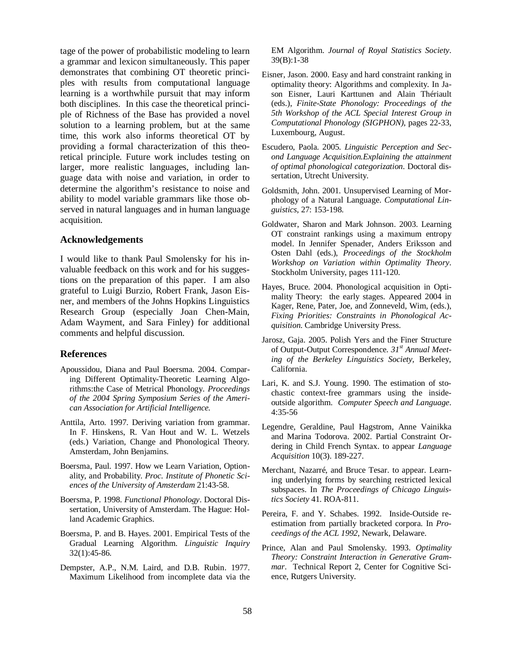tage of the power of probabilistic modeling to learn a grammar and lexicon simultaneously. This paper demonstrates that combining OT theoretic principles with results from computational language learning is a worthwhile pursuit that may inform both disciplines. In this case the theoretical principle of Richness of the Base has provided a novel solution to a learning problem, but at the same time, this work also informs theoretical OT by providing a formal characterization of this theoretical principle. Future work includes testing on larger, more realistic languages, including language data with noise and variation, in order to determine the algorithm's resistance to noise and ability to model variable grammars like those observed in natural languages and in human language acquisition.

#### **Acknowledgements**

I would like to thank Paul Smolensky for his invaluable feedback on this work and for his suggestions on the preparation of this paper. I am also grateful to Luigi Burzio, Robert Frank, Jason Eisner, and members of the Johns Hopkins Linguistics Research Group (especially Joan Chen-Main, Adam Wayment, and Sara Finley) for additional comments and helpful discussion.

#### **References**

- Apoussidou, Diana and Paul Boersma. 2004. Comparing Different Optimality-Theoretic Learning Algorithms:the Case of Metrical Phonology. *Proceedings of the 2004 Spring Symposium Series of the American Association for Artificial Intelligence.*
- Anttila, Arto. 1997. Deriving variation from grammar. In F. Hinskens, R. Van Hout and W. L. Wetzels (eds.) Variation, Change and Phonological Theory. Amsterdam, John Benjamins.
- Boersma, Paul. 1997. How we Learn Variation, Optionality, and Probability. *Proc. Institute of Phonetic Sciences of the University of Amsterdam* 21:43-58.
- Boersma, P. 1998. *Functional Phonology*. Doctoral Dissertation, University of Amsterdam. The Hague: Holland Academic Graphics.
- Boersma, P. and B. Hayes. 2001. Empirical Tests of the Gradual Learning Algorithm. *Linguistic Inquiry*  32(1):45-86.
- Dempster, A.P., N.M. Laird, and D.B. Rubin. 1977. Maximum Likelihood from incomplete data via the

EM Algorithm. *Journal of Royal Statistics Society*. 39(B):1-38

- Eisner, Jason. 2000. Easy and hard constraint ranking in optimality theory: Algorithms and complexity. In Jason Eisner, Lauri Karttunen and Alain Thériault (eds.), *Finite-State Phonology: Proceedings of the 5th Workshop of the ACL Special Interest Group in Computational Phonology (SIGPHON)*, pages 22-33, Luxembourg, August.
- Escudero, Paola. 2005. *Linguistic Perception and Second Language Acquisition.Explaining the attainment of optimal phonological categorization*. Doctoral dissertation, Utrecht University.
- Goldsmith, John. 2001. Unsupervised Learning of Morphology of a Natural Language. *Computational Linguistics*, 27: 153-198.
- Goldwater, Sharon and Mark Johnson. 2003. Learning OT constraint rankings using a maximum entropy model. In Jennifer Spenader, Anders Eriksson and Osten Dahl (eds.), *Proceedings of the Stockholm Workshop on Variation within Optimality Theory*. Stockholm University, pages 111-120.
- Hayes, Bruce. 2004. Phonological acquisition in Optimality Theory: the early stages. Appeared 2004 in Kager, Rene, Pater, Joe, and Zonneveld, Wim, (eds.), *Fixing Priorities: Constraints in Phonological Acquisition*. Cambridge University Press.
- Jarosz, Gaja. 2005. Polish Yers and the Finer Structure of Output-Output Correspondence. *31st Annual Meeting of the Berkeley Linguistics Society,* Berkeley, California.
- Lari, K. and S.J. Young. 1990. The estimation of stochastic context-free grammars using the insideoutside algorithm. *Computer Speech and Language*. 4:35-56
- Legendre, Geraldine, Paul Hagstrom, Anne Vainikka and Marina Todorova. 2002. Partial Constraint Ordering in Child French Syntax. to appear *Language Acquisition* 10(3). 189-227.
- Merchant, Nazarré, and Bruce Tesar. to appear. Learning underlying forms by searching restricted lexical subspaces. In *The Proceedings of Chicago Linguistics Society* 41. ROA-811.
- Pereira, F. and Y. Schabes. 1992. Inside-Outside reestimation from partially bracketed corpora. In *Proceedings of the ACL 1992*, Newark, Delaware.
- Prince, Alan and Paul Smolensky. 1993. *Optimality Theory: Constraint Interaction in Generative Grammar*. Technical Report 2, Center for Cognitive Science, Rutgers University.